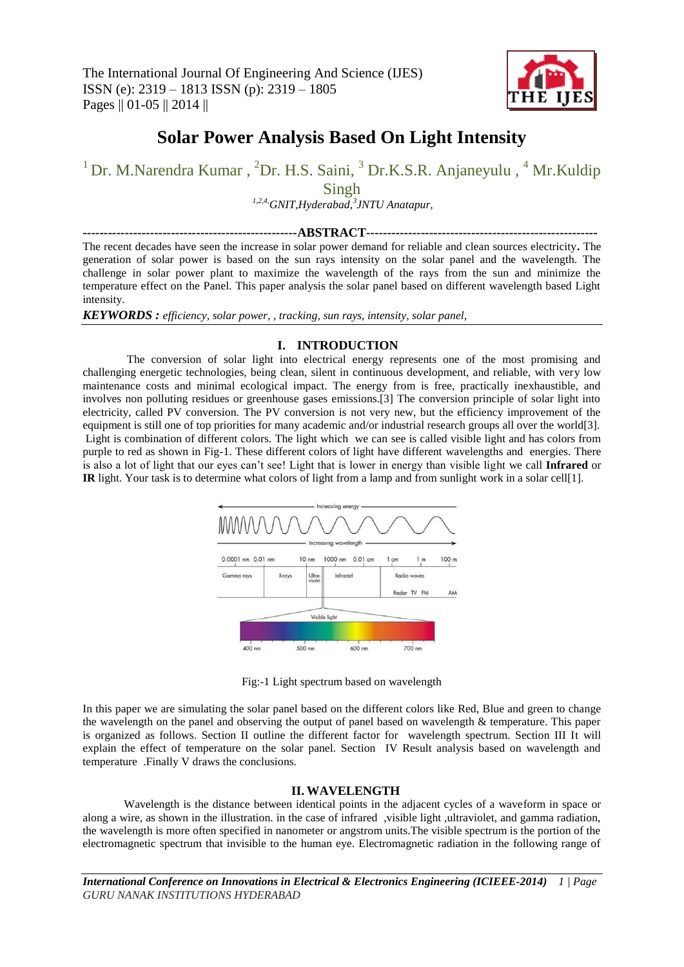

# **Solar Power Analysis Based On Light Intensity**

<sup>1</sup> Dr. M.Narendra Kumar, <sup>2</sup>Dr. H.S. Saini, <sup>3</sup> Dr.K.S.R. Anjaneyulu, <sup>4</sup> Mr.Kuldip

Singh

*1,2,4,GNIT,Hyderabad,<sup>3</sup> JNTU Anatapur,*

**---------------------------------------------------ABSTRACT-------------------------------------------------------**

The recent decades have seen the increase in solar power demand for reliable and clean sources electricity**.** The generation of solar power is based on the sun rays intensity on the solar panel and the wavelength. The challenge in solar power plant to maximize the wavelength of the rays from the sun and minimize the temperature effect on the Panel. This paper analysis the solar panel based on different wavelength based Light intensity.

*KEYWORDS : efficiency, solar power, , tracking, sun rays, intensity, solar panel,*

# **I. INTRODUCTION**

The conversion of solar light into electrical energy represents one of the most promising and challenging energetic technologies, being clean, silent in continuous development, and reliable, with very low maintenance costs and minimal ecological impact. The energy from is free, practically inexhaustible, and involves non polluting residues or greenhouse gases emissions.[3] The conversion principle of solar light into electricity, called PV conversion. The PV conversion is not very new, but the efficiency improvement of the equipment is still one of top priorities for many academic and/or industrial research groups all over the world[3]. Light is combination of different colors. The light which we can see is called visible light and has colors from purple to red as shown in Fig-1. These different colors of light have different wavelengths and energies. There is also a lot of light that our eyes can't see! Light that is lower in energy than visible light we call **Infrared** or **IR** light. Your task is to determine what colors of light from a lamp and from sunlight work in a solar cell[1].



Fig:-1 Light spectrum based on wavelength

In this paper we are simulating the solar panel based on the different colors like Red, Blue and green to change the wavelength on the panel and observing the output of panel based on wavelength & temperature. This paper is organized as follows. Section II outline the different factor for wavelength spectrum. Section III It will explain the effect of temperature on the solar panel. Section IV Result analysis based on wavelength and temperature .Finally V draws the conclusions.

## **II. WAVELENGTH**

Wavelength is the distance between identical points in the adjacent cycles of a waveform in space or along a wire, as shown in the illustration. in the case of infrared ,visible light ,ultraviolet, and gamma radiation, the wavelength is more often specified in nanometer or angstrom units.The visible spectrum is the portion of the electromagnetic spectrum that invisible to the human eye. Electromagnetic radiation in the following range of

*International Conference on Innovations in Electrical & Electronics Engineering (ICIEEE-2014) 1 | Page GURU NANAK INSTITUTIONS HYDERABAD*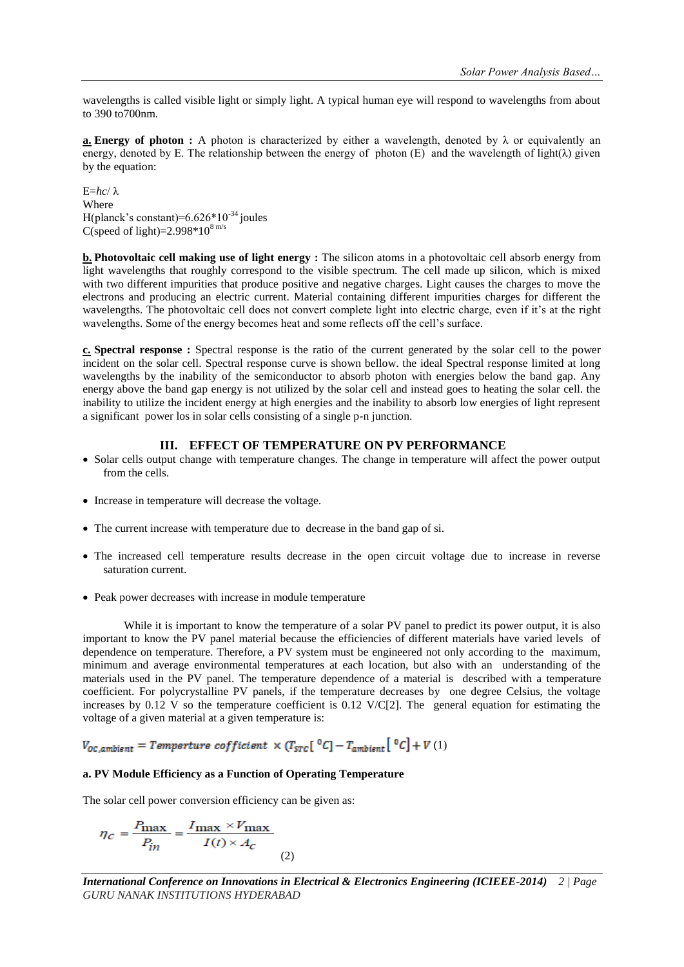wavelengths is called visible light or simply light. A typical human eye will respond to wavelengths from about to 390 to700nm.

**a. Energy of photon** : A photon is characterized by either a wavelength, denoted by  $\lambda$  or equivalently an energy, denoted by E. The relationship between the energy of photon (E) and the wavelength of light( $\lambda$ ) given by the equation:

E=*hc*/ λ Where H(planck's constant)= $6.626*10^{-34}$  joules C(speed of light)= $2.998*10<sup>8 m/s</sup>$ 

**b. Photovoltaic cell making use of light energy :** The silicon atoms in a photovoltaic cell absorb energy from light wavelengths that roughly correspond to the visible spectrum. The cell made up silicon, which is mixed with two different impurities that produce positive and negative charges. Light causes the charges to move the electrons and producing an electric current. Material containing different impurities charges for different the wavelengths. The photovoltaic cell does not convert complete light into electric charge, even if it's at the right wavelengths. Some of the energy becomes heat and some reflects off the cell's surface.

**c. Spectral response :** Spectral response is the ratio of the current generated by the solar cell to the power incident on the solar cell. Spectral response curve is shown bellow. the ideal Spectral response limited at long wavelengths by the inability of the semiconductor to absorb photon with energies below the band gap. Any energy above the band gap energy is not utilized by the solar cell and instead goes to heating the solar cell. the inability to utilize the incident energy at high energies and the inability to absorb low energies of light represent a significant power los in solar cells consisting of a single p-n junction.

# **III. EFFECT OF TEMPERATURE ON PV PERFORMANCE**

- Solar cells output change with temperature changes. The change in temperature will affect the power output from the cells.
- Increase in temperature will decrease the voltage.
- The current increase with temperature due to decrease in the band gap of si.
- The increased cell temperature results decrease in the open circuit voltage due to increase in reverse saturation current.
- Peak power decreases with increase in module temperature

While it is important to know the temperature of a solar PV panel to predict its power output, it is also important to know the PV panel material because the efficiencies of different materials have varied levels of dependence on temperature. Therefore, a PV system must be engineered not only according to the maximum, minimum and average environmental temperatures at each location, but also with an understanding of the materials used in the PV panel. The temperature dependence of a material is described with a temperature coefficient. For polycrystalline PV panels, if the temperature decreases by one degree Celsius, the voltage increases by  $0.12$  V so the temperature coefficient is  $0.12$  V/C[2]. The general equation for estimating the voltage of a given material at a given temperature is:

 $V_{oc,ambient} = Temperature\; coefficient\; \times \left(T_{src} \left[ \; ^0C \right] - T_{ambient} \left[ \; ^0C \right] + V \left( 1 \right) \right.$ 

#### **a. PV Module Efficiency as a Function of Operating Temperature**

The solar cell power conversion efficiency can be given as:

$$
\eta_C = \frac{P_{\text{max}}}{P_{in}} = \frac{I_{\text{max}} \times V_{\text{max}}}{I(t) \times A_C}
$$
\n(2)

*International Conference on Innovations in Electrical & Electronics Engineering (ICIEEE-2014) 2 | Page GURU NANAK INSTITUTIONS HYDERABAD*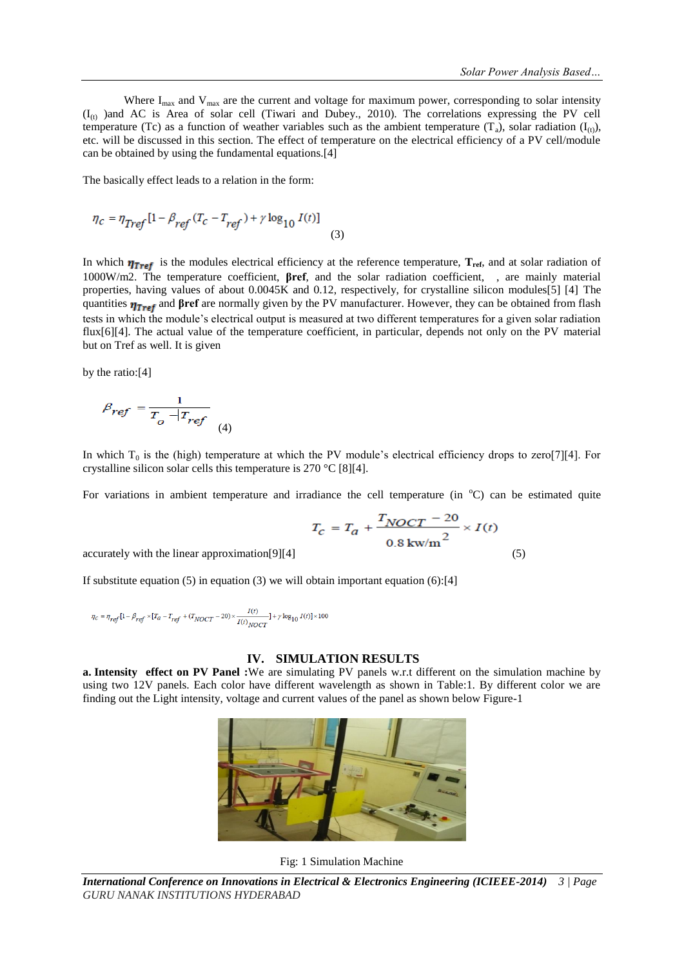Where  $I_{\text{max}}$  and  $V_{\text{max}}$  are the current and voltage for maximum power, corresponding to solar intensity  $(I_{(t)})$  and AC is Area of solar cell (Tiwari and Dubey., 2010). The correlations expressing the PV cell temperature (Tc) as a function of weather variables such as the ambient temperature (T<sub>a</sub>), solar radiation (I<sub>(t)</sub>), etc. will be discussed in this section. The effect of temperature on the electrical efficiency of a PV cell/module can be obtained by using the fundamental equations.[4]

The basically effect leads to a relation in the form:

$$
\eta_c = \eta_{Tref} \left[ 1 - \beta_{ref} \left( T_c - T_{ref} \right) + \gamma \log_{10} I(t) \right] \tag{3}
$$

In which  $\eta_{\text{Tref}}$  is the modules electrical efficiency at the reference temperature,  $T_{\text{ref}}$ , and at solar radiation of 1000W/m2. The temperature coefficient, **βref**, and the solar radiation coefficient, , are mainly material properties, having values of about 0.0045K and 0.12, respectively, for crystalline silicon modules[5] [4] The quantities **η<sub>Tref</sub>** and **βref** are normally given by the PV manufacturer. However, they can be obtained from flash tests in which the module's electrical output is measured at two different temperatures for a given solar radiation flux[6][4]. The actual value of the temperature coefficient, in particular, depends not only on the PV material but on Tref as well. It is given

by the ratio:[4]

$$
\beta_{ref} = \frac{1}{T_o - T_{ref}} \tag{4}
$$

In which  $T_0$  is the (high) temperature at which the PV module's electrical efficiency drops to zero[7][4]. For crystalline silicon solar cells this temperature is 270 °C [8][4].

For variations in ambient temperature and irradiance the cell temperature (in  $\degree$ C) can be estimated quite

$$
T_C = T_a + \frac{T_{NOCT} - 20}{0.8 \text{ kw/m}^2} \times I(t)
$$

 $\alpha$  accurately with the linear approximation [9][4] (5)

If substitute equation  $(5)$  in equation  $(3)$  we will obtain important equation  $(6)$ :[4]

$$
\eta_{C} = \eta_{ref}[1-\beta_{ref} \times [T_{a}-T_{ref}+(T_{NOCT}-20) \times \frac{I(t)}{I(t)_{NOCT}}] + \gamma \log_{10}{I(t)} \times 100
$$

### **IV. SIMULATION RESULTS**

**a. Intensity effect on PV Panel :**We are simulating PV panels w.r.t different on the simulation machine by using two 12V panels. Each color have different wavelength as shown in Table:1. By different color we are finding out the Light intensity, voltage and current values of the panel as shown below Figure-1



Fig: 1 Simulation Machine

*International Conference on Innovations in Electrical & Electronics Engineering (ICIEEE-2014) 3 | Page GURU NANAK INSTITUTIONS HYDERABAD*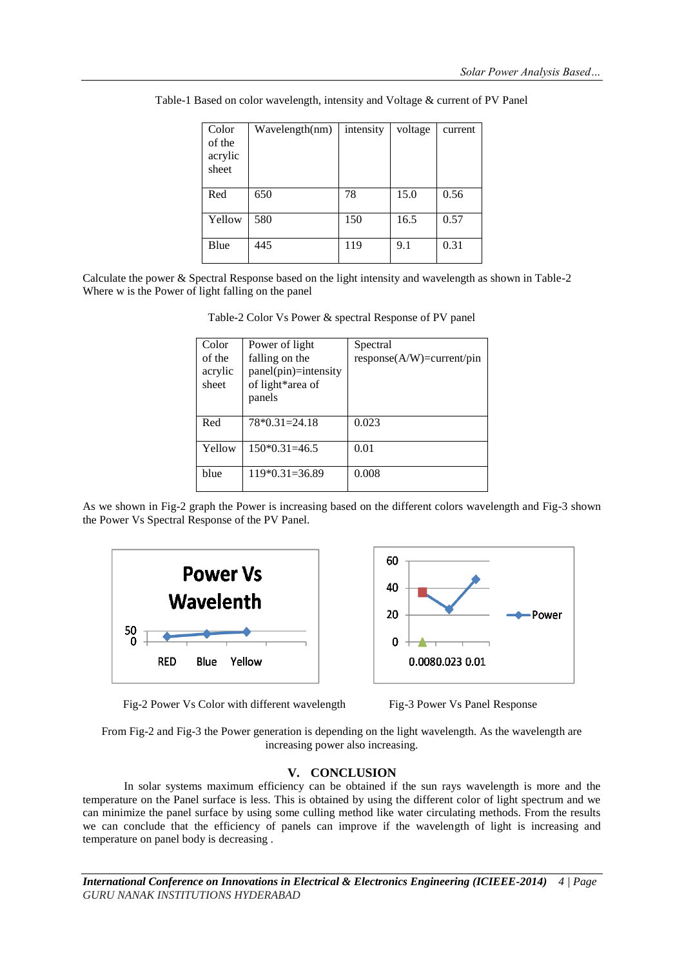| Color<br>of the<br>acrylic<br>sheet | Wavelength(nm) | intensity | voltage | current |
|-------------------------------------|----------------|-----------|---------|---------|
| Red                                 | 650            | 78        | 15.0    | 0.56    |
| Yellow                              | 580            | 150       | 16.5    | 0.57    |
| Blue                                | 445            | 119       | 9.1     | 0.31    |

Table-1 Based on color wavelength, intensity and Voltage & current of PV Panel

Calculate the power & Spectral Response based on the light intensity and wavelength as shown in Table-2 Where w is the Power of light falling on the panel

| Table-2 Color Vs Power & spectral Response of PV panel |
|--------------------------------------------------------|
|--------------------------------------------------------|

| Color<br>of the<br>acrylic<br>sheet | Power of light<br>falling on the<br>$panel(pin)=intensity$<br>of light*area of | Spectral<br>$response(A/W)=current/pin$ |
|-------------------------------------|--------------------------------------------------------------------------------|-----------------------------------------|
| Red                                 | panels<br>$78*0.31=24.18$                                                      | 0.023                                   |
| Yellow                              | $150*0.31=46.5$                                                                | 0.01                                    |
| blue                                | $119*0.31=36.89$                                                               | 0.008                                   |

As we shown in Fig-2 graph the Power is increasing based on the different colors wavelength and Fig-3 shown the Power Vs Spectral Response of the PV Panel.





Fig-2 Power Vs Color with different wavelength Fig-3 Power Vs Panel Response



From Fig-2 and Fig-3 the Power generation is depending on the light wavelength. As the wavelength are increasing power also increasing.

## **V. CONCLUSION**

In solar systems maximum efficiency can be obtained if the sun rays wavelength is more and the temperature on the Panel surface is less. This is obtained by using the different color of light spectrum and we can minimize the panel surface by using some culling method like water circulating methods. From the results we can conclude that the efficiency of panels can improve if the wavelength of light is increasing and temperature on panel body is decreasing .

*International Conference on Innovations in Electrical & Electronics Engineering (ICIEEE-2014) 4 | Page GURU NANAK INSTITUTIONS HYDERABAD*